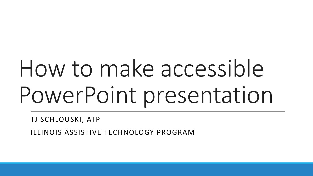# How to make accessible PowerPoint presentation

TJ SCHLOUSKI, ATP

ILLINOIS ASSISTIVE TECHNOLOGY PROGRAM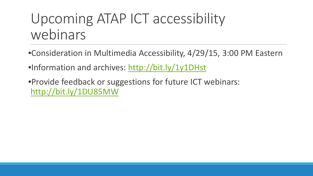#### Upcoming ATAP ICT accessibility webinars

- •Consideration in Multimedia Accessibility, 4/29/15, 3:00 PM Eastern
- •Information and archives:<http://bit.ly/1y1DHst>
- •Provide feedback or suggestions for future ICT webinars: <http://bit.ly/1DU85MW>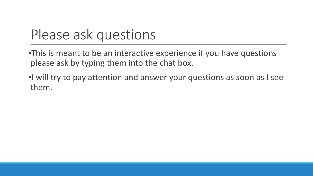#### Please ask questions

- •This is meant to be an interactive experience if you have questions please ask by typing them into the chat box.
- •I will try to pay attention and answer your questions as soon as I see them.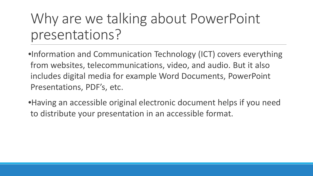## Why are we talking about PowerPoint presentations?

•Information and Communication Technology (ICT) covers everything from websites, telecommunications, video, and audio. But it also includes digital media for example Word Documents, PowerPoint Presentations, PDF's, etc.

•Having an accessible original electronic document helps if you need to distribute your presentation in an accessible format.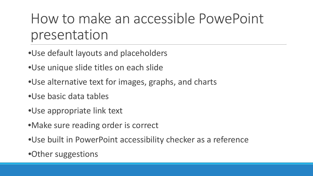#### How to make an accessible PowePoint presentation

- •Use default layouts and placeholders
- •Use unique slide titles on each slide
- •Use alternative text for images, graphs, and charts
- •Use basic data tables
- •Use appropriate link text
- •Make sure reading order is correct
- •Use built in PowerPoint accessibility checker as a reference
- •Other suggestions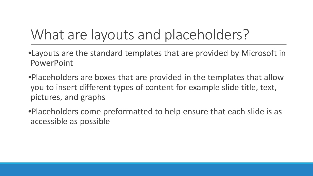## What are layouts and placeholders?

- •Layouts are the standard templates that are provided by Microsoft in PowerPoint
- •Placeholders are boxes that are provided in the templates that allow you to insert different types of content for example slide title, text, pictures, and graphs
- •Placeholders come preformatted to help ensure that each slide is as accessible as possible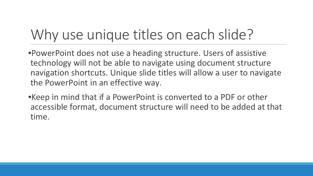## Why use unique titles on each slide?

•PowerPoint does not use a heading structure. Users of assistive technology will not be able to navigate using document structure navigation shortcuts. Unique slide titles will allow a user to navigate the PowerPoint in an effective way.

•Keep in mind that if a PowerPoint is converted to a PDF or other accessible format, document structure will need to be added at that time.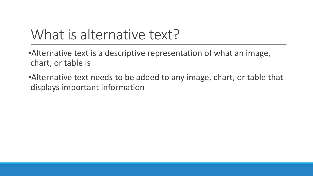#### What is alternative text?

•Alternative text is a descriptive representation of what an image, chart, or table is

•Alternative text needs to be added to any image, chart, or table that displays important information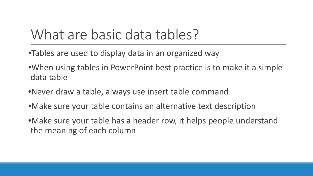#### What are basic data tables?

- •Tables are used to display data in an organized way
- •When using tables in PowerPoint best practice is to make it a simple data table
- •Never draw a table, always use insert table command
- •Make sure your table contains an alternative text description
- •Make sure your table has a header row, it helps people understand the meaning of each column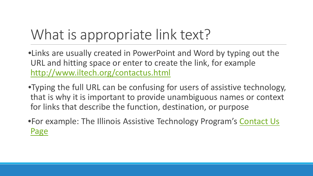## What is appropriate link text?

•Links are usually created in PowerPoint and Word by typing out the URL and hitting space or enter to create the link, for example <http://www.iltech.org/contactus.html>

•Typing the full URL can be confusing for users of assistive technology, that is why it is important to provide unambiguous names or context for links that describe the function, destination, or purpose

•For example: The Illinois Assistive Technology Program's [Contact Us](http://www.iltech.org/contactus.html)  [Page](http://www.iltech.org/contactus.html)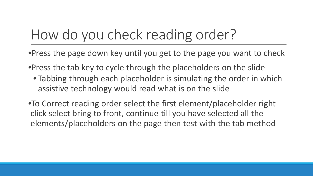### How do you check reading order?

- •Press the page down key until you get to the page you want to check
- •Press the tab key to cycle through the placeholders on the slide
	- Tabbing through each placeholder is simulating the order in which assistive technology would read what is on the slide
- •To Correct reading order select the first element/placeholder right click select bring to front, continue till you have selected all the elements/placeholders on the page then test with the tab method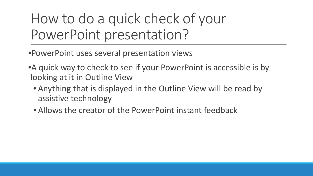How to do a quick check of your PowerPoint presentation?

•PowerPoint uses several presentation views

- •A quick way to check to see if your PowerPoint is accessible is by looking at it in Outline View
	- Anything that is displayed in the Outline View will be read by assistive technology
	- Allows the creator of the PowerPoint instant feedback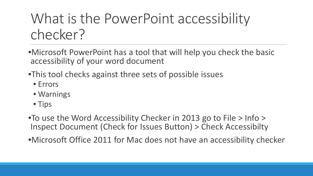•Microsoft PowerPoint has a tool that will help you check the basic accessibility of your word document

- •This tool checks against three sets of possible issues
	- Errors
	- Warnings
	- Tips

•To use the Word Accessibility Checker in 2013 go to File > Info > Inspect Document (Check for Issues Button) > Check Accessibilty

•Microsoft Office 2011 for Mac does not have an accessibility checker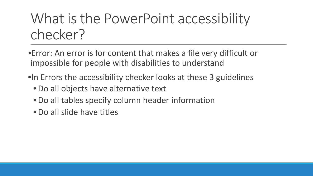- •Error: An error is for content that makes a file very difficult or impossible for people with disabilities to understand
- •In Errors the accessibility checker looks at these 3 guidelines
	- Do all objects have alternative text
	- Do all tables specify column header information
	- Do all slide have titles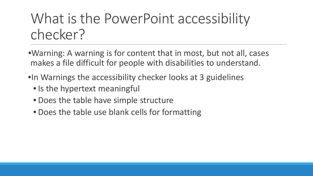- •Warning: A warning is for content that in most, but not all, cases makes a file difficult for people with disabilities to understand.
- •In Warnings the accessibility checker looks at 3 guidelines
	- Is the hypertext meaningful
	- Does the table have simple structure
	- Does the table use blank cells for formatting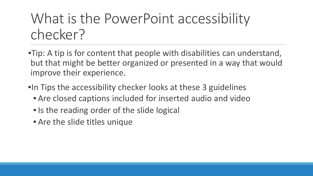- •Tip: A tip is for content that people with disabilities can understand, but that might be better organized or presented in a way that would improve their experience.
- •In Tips the accessibility checker looks at these 3 guidelines
	- Are closed captions included for inserted audio and video
	- Is the reading order of the slide logical
	- Are the slide titles unique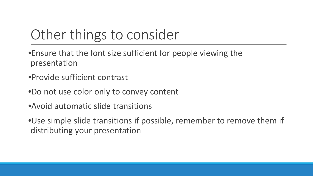#### Other things to consider

- •Ensure that the font size sufficient for people viewing the presentation
- •Provide sufficient contrast
- •Do not use color only to convey content
- •Avoid automatic slide transitions
- •Use simple slide transitions if possible, remember to remove them if distributing your presentation